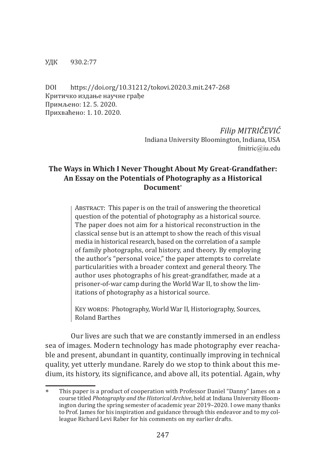#### УДК 930.2:77

DOI https://doi.org/10.31212/tokovi.2020.3.mit.247-268 Критичко издање научне грађе Примљено: 12. 5. 2020. Прихваћено: 1. 10. 2020.

> *Filip MITRIČEVIĆ* Indiana University Bloomington, Indiana, USA fmitric@iu.edu

# **The Ways in Which I Never Thought About My Great-Grandfather: An Essay on the Potentials of Photography as a Historical Document**<sup>∗</sup>

Abstract: This paper is on the trail of answering the theoretical question of the potential of photography as a historical source. The paper does not aim for a historical reconstruction in the classical sense but is an attempt to show the reach of this visual media in historical research, based on the correlation of a sample of family photographs, oral history, and theory. By employing the author's "personal voice," the paper attempts to correlate particularities with a broader context and general theory. The author uses photographs of his great-grandfather, made at a prisoner-of-war camp during the World War II, to show the limitations of photography as a historical source.

KEY WORDS: Photography, World War II, Historiography, Sources, Roland Barthes

Our lives are such that we are constantly immersed in an endless sea of images. Modern technology has made photography ever reachable and present, abundant in quantity, continually improving in technical quality, yet utterly mundane. Rarely do we stop to think about this medium, its history, its significance, and above all, its potential. Again, why

This paper is a product of cooperation with Professor Daniel "Danny" James on a course titled *Photography and the Historical Archive*, held at Indiana University Bloomington during the spring semester of academic year 2019–2020. I owe many thanks to Prof. James for his inspiration and guidance through this endeavor and to my colleague Richard Levi Raber for his comments on my earlier drafts.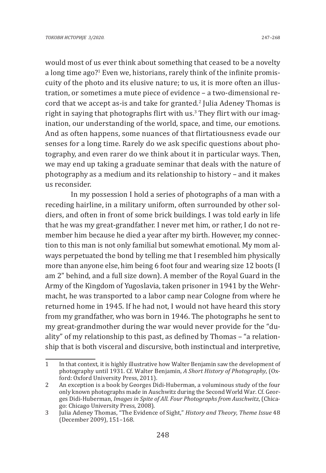would most of us ever think about something that ceased to be a novelty a long time ago?<sup>1</sup> Even we, historians, rarely think of the infinite promiscuity of the photo and its elusive nature; to us, it is more often an illustration, or sometimes a mute piece of evidence – a two-dimensional record that we accept as-is and take for granted.<sup>2</sup> Julia Adeney Thomas is right in saying that photographs flirt with us.<sup>3</sup> They flirt with our imagination, our understanding of the world, space, and time, our emotions. And as often happens, some nuances of that flirtatiousness evade our senses for a long time. Rarely do we ask specific questions about photography, and even rarer do we think about it in particular ways. Then, we may end up taking a graduate seminar that deals with the nature of photography as a medium and its relationship to history – and it makes us reconsider.

In my possession I hold a series of photographs of a man with a receding hairline, in a military uniform, often surrounded by other soldiers, and often in front of some brick buildings. I was told early in life that he was my great-grandfather. I never met him, or rather, I do not remember him because he died a year after my birth. However, my connection to this man is not only familial but somewhat emotional. My mom always perpetuated the bond by telling me that I resembled him physically more than anyone else, him being 6 foot four and wearing size 12 boots (I am 2" behind, and a full size down). A member of the Royal Guard in the Army of the Kingdom of Yugoslavia, taken prisoner in 1941 by the Wehrmacht, he was transported to a labor camp near Cologne from where he returned home in 1945. If he had not, I would not have heard this story from my grandfather, who was born in 1946. The photographs he sent to my great-grandmother during the war would never provide for the "duality" of my relationship to this past, as defined by Thomas – "a relationship that is both visceral and discursive, both instinctual and interpretive,

<sup>1</sup> In that context, it is highly illustrative how Walter Benjamin saw the development of photography until 1931. Cf. Walter Benjamin, *A Short History of Photography*, (Oxford: Oxford University Press, 2011).

<sup>2</sup> An exception is a book by Georges Didi-Huberman, a voluminous study of the four only known photographs made in Auschwitz during the Second World War. Cf. Georges Didi-Huberman, *Images in Spite of All. Four Photographs from Auschwitz*, (Chicago: Chicago University Press, 2008).

<sup>3</sup> Julia Adeney Thomas, "The Evidence of Sight," *History and Theory, Theme Issue* 48 (December 2009), 151–168.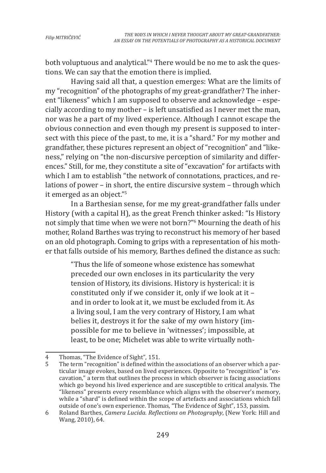both voluptuous and analytical."<sup>4</sup> There would be no me to ask the questions. We can say that the emotion there is implied.

Having said all that, a question emerges: What are the limits of my "recognition" of the photographs of my great-grandfather? The inherent "likeness" which I am supposed to observe and acknowledge – especially according to my mother – is left unsatisfied as I never met the man, nor was he a part of my lived experience. Although I cannot escape the obvious connection and even though my present is supposed to intersect with this piece of the past, to me, it is a "shard." For my mother and grandfather, these pictures represent an object of "recognition" and "likeness," relying on "the non-discursive perception of similarity and differences." Still, for me, they constitute a site of "excavation" for artifacts with which I am to establish "the network of connotations, practices, and relations of power – in short, the entire discursive system – through which it emerged as an object."<sup>5</sup>

In a Barthesian sense, for me my great-grandfather falls under History (with a capital H), as the great French thinker asked: "Is History not simply that time when we were not born?"6 Mourning the death of his mother, Roland Barthes was trying to reconstruct his memory of her based on an old photograph. Coming to grips with a representation of his mother that falls outside of his memory, Barthes defined the distance as such:

> "Thus the life of someone whose existence has somewhat preceded our own encloses in its particularity the very tension of History, its divisions. History is hysterical: it is constituted only if we consider it, only if we look at it – and in order to look at it, we must be excluded from it. As a living soul, I am the very contrary of History, I am what belies it, destroys it for the sake of my own history (impossible for me to believe in 'witnesses'; impossible, at least, to be one; Michelet was able to write virtually noth-

<sup>4</sup> Thomas, "The Evidence of Sight", 151.<br>5 The term "recognition" is defined withi

The term "recognition" is defined within the associations of an observer which a particular image evokes, based on lived experiences. Opposite to "recognition" is "excavation," a term that outlines the process in which observer is facing associations which go beyond his lived experience and are susceptible to critical analysis. The "likeness" presents every resemblance which aligns with the observer's memory, while a "shard" is defined within the scope of artefacts and associations which fall outside of one's own experience. Thomas, "The Evidence of Sight", 153, passim.

<sup>6</sup> Roland Barthes, *Camera Lucida. Reflections on Photography*, (New York: Hill and Wang, 2010), 64.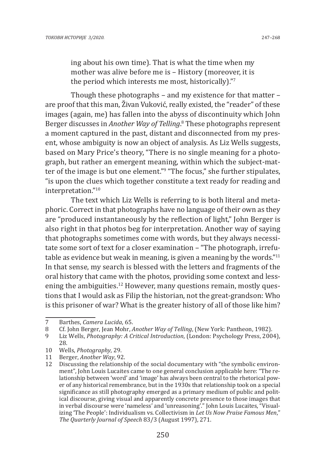ing about his own time). That is what the time when my mother was alive before me is – History (moreover, it is the period which interests me most, historically)."<sup>7</sup>

Though these photographs – and my existence for that matter – are proof that this man, Živan Vuković, really existed, the "reader" of these images (again, me) has fallen into the abyss of discontinuity which John Berger discusses in *Another Way of Telling*. 8 These photographs represent a moment captured in the past, distant and disconnected from my present, whose ambiguity is now an object of analysis. As Liz Wells suggests, based on Mary Price's theory, "There is no single meaning for a photograph, but rather an emergent meaning, within which the subject-matter of the image is but one element."9 "The focus," she further stipulates, "is upon the clues which together constitute a text ready for reading and interpretation."<sup>10</sup>

The text which Liz Wells is referring to is both literal and metaphoric. Correct in that photographs have no language of their own as they are "produced instantaneously by the reflection of light," John Berger is also right in that photos beg for interpretation. Another way of saying that photographs sometimes come with words, but they always necessitate some sort of text for a closer examination – "The photograph, irrefutable as evidence but weak in meaning, is given a meaning by the words."<sup>11</sup> In that sense, my search is blessed with the letters and fragments of the oral history that came with the photos, providing some context and lessening the ambiguities.<sup>12</sup> However, many questions remain, mostly questions that I would ask as Filip the historian, not the great-grandson: Who is this prisoner of war? What is the greater history of all of those like him?

<sup>7</sup> Barthes, *Camera Lucida*, 65.

<sup>8</sup> Cf. John Berger, Jean Mohr, *Another Way of Telling*, (New York: Pantheon, 1982).

<sup>9</sup> Liz Wells, *Photography: A Critical Introduction*, (London: Psychology Press, 2004), 28.

<sup>10</sup> Wells, *Photography*, 29.

<sup>11</sup> Berger, *Another Way*, 92.

Discussing the relationship of the social documentary with "the symbolic environment", John Louis Lucaites came to one general conclusion applicable here: "The relationship between 'word' and 'image' has always been central to the rhetorical power of any historical remembrance, but in the 1930s that relationship took on a special significance as still photography emerged as a primary medium of public and political discourse, giving visual and apparently concrete presence to those images that in verbal discourse were 'nameless' and 'unreasoning'." John Louis Lucaites, "Visualizing 'The People': Individualism vs. Collectivism in *Let Us Now Praise Famous Men*," *The Quarterly Journal of Speech* 83/3 (August 1997), 271.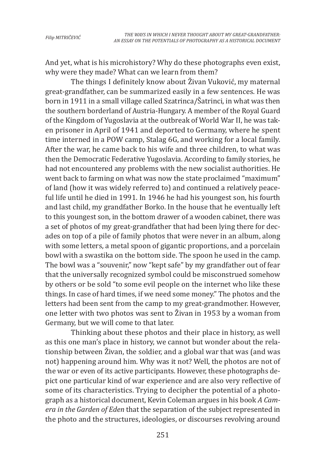And yet, what is his microhistory? Why do these photographs even exist, why were they made? What can we learn from them?

The things I definitely know about Živan Vuković, my maternal great-grandfather, can be summarized easily in a few sentences. He was born in 1911 in a small village called Szatrinca/Šatrinci, in what was then the southern borderland of Austria-Hungary. A member of the Royal Guard of the Kingdom of Yugoslavia at the outbreak of World War II, he was taken prisoner in April of 1941 and deported to Germany, where he spent time interned in a POW camp, Stalag 6G, and working for a local family. After the war, he came back to his wife and three children, to what was then the Democratic Federative Yugoslavia. According to family stories, he had not encountered any problems with the new socialist authorities. He went back to farming on what was now the state proclaimed "maximum" of land (how it was widely referred to) and continued a relatively peaceful life until he died in 1991. In 1946 he had his youngest son, his fourth and last child, my grandfather Borko. In the house that he eventually left to this youngest son, in the bottom drawer of a wooden cabinet, there was a set of photos of my great-grandfather that had been lying there for decades on top of a pile of family photos that were never in an album, along with some letters, a metal spoon of gigantic proportions, and a porcelain bowl with a swastika on the bottom side. The spoon he used in the camp. The bowl was a "souvenir," now "kept safe" by my grandfather out of fear that the universally recognized symbol could be misconstrued somehow by others or be sold "to some evil people on the internet who like these things. In case of hard times, if we need some money." The photos and the letters had been sent from the camp to my great-grandmother. However, one letter with two photos was sent to Živan in 1953 by a woman from Germany, but we will come to that later.

Thinking about these photos and their place in history, as well as this one man's place in history, we cannot but wonder about the relationship between Živan, the soldier, and a global war that was (and was not) happening around him. Why was it not? Well, the photos are not of the war or even of its active participants. However, these photographs depict one particular kind of war experience and are also very reflective of some of its characteristics. Trying to decipher the potential of a photograph as a historical document, Kevin Coleman argues in his book *A Camera in the Garden of Eden* that the separation of the subject represented in the photo and the structures, ideologies, or discourses revolving around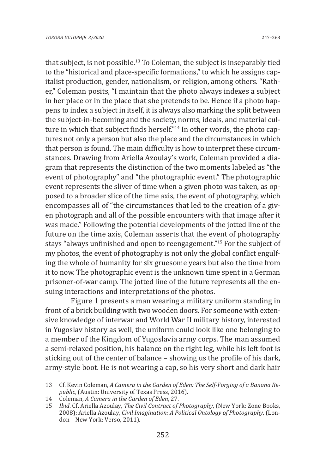that subject, is not possible.13 To Coleman, the subject is inseparably tied to the "historical and place-specific formations," to which he assigns capitalist production, gender, nationalism, or religion, among others. "Rather," Coleman posits, "I maintain that the photo always indexes a subject in her place or in the place that she pretends to be. Hence if a photo happens to index a subject in itself, it is always also marking the split between the subject-in-becoming and the society, norms, ideals, and material culture in which that subject finds herself."<sup>14</sup> In other words, the photo captures not only a person but also the place and the circumstances in which that person is found. The main difficulty is how to interpret these circumstances. Drawing from Ariella Azoulay's work, Coleman provided a diagram that represents the distinction of the two moments labeled as "the event of photography" and "the photographic event." The photographic event represents the sliver of time when a given photo was taken, as opposed to a broader slice of the time axis, the event of photography, which encompasses all of "the circumstances that led to the creation of a given photograph and all of the possible encounters with that image after it was made." Following the potential developments of the jotted line of the future on the time axis, Coleman asserts that the event of photography stays "always unfinished and open to reengagement."15 For the subject of my photos, the event of photography is not only the global conflict engulfing the whole of humanity for six gruesome years but also the time from it to now. The photographic event is the unknown time spent in a German prisoner-of-war camp. The jotted line of the future represents all the ensuing interactions and interpretations of the photos.

Figure 1 presents a man wearing a military uniform standing in front of a brick building with two wooden doors. For someone with extensive knowledge of interwar and World War II military history, interested in Yugoslav history as well, the uniform could look like one belonging to a member of the Kingdom of Yugoslavia army corps. The man assumed a semi-relaxed position, his balance on the right leg, while his left foot is sticking out of the center of balance – showing us the profile of his dark, army-style boot. He is not wearing a cap, so his very short and dark hair

<sup>13</sup> Cf. Kevin Coleman, *A Camera in the Garden of Eden: The Self-Forging of a Banana Republic*, (Austin: University of Texas Press, 2016).

<sup>14</sup> Coleman, *A Camera in the Garden of Eden*, 27.

<sup>15</sup> *Ibid*. Cf. Ariella Azoulay, *The Civil Contract of Photography*, (New York: Zone Books, 2008); Ariella Azoulay, *Civil Imagination: A Political Ontology of Photography*, (London – New York: Verso, 2011).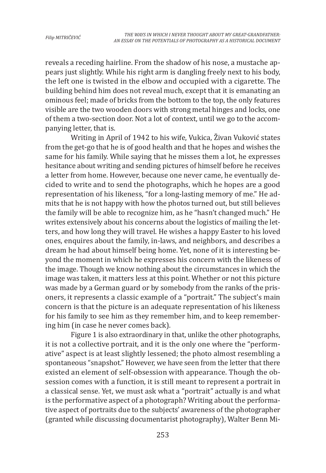reveals a receding hairline. From the shadow of his nose, a mustache appears just slightly. While his right arm is dangling freely next to his body, the left one is twisted in the elbow and occupied with a cigarette. The building behind him does not reveal much, except that it is emanating an ominous feel; made of bricks from the bottom to the top, the only features visible are the two wooden doors with strong metal hinges and locks, one of them a two-section door. Not a lot of context, until we go to the accompanying letter, that is.

Writing in April of 1942 to his wife, Vukica, Živan Vuković states from the get-go that he is of good health and that he hopes and wishes the same for his family. While saying that he misses them a lot, he expresses hesitance about writing and sending pictures of himself before he receives a letter from home. However, because one never came, he eventually decided to write and to send the photographs, which he hopes are a good representation of his likeness, "for a long-lasting memory of me." He admits that he is not happy with how the photos turned out, but still believes the family will be able to recognize him, as he "hasn't changed much." He writes extensively about his concerns about the logistics of mailing the letters, and how long they will travel. He wishes a happy Easter to his loved ones, enquires about the family, in-laws, and neighbors, and describes a dream he had about himself being home. Yet, none of it is interesting beyond the moment in which he expresses his concern with the likeness of the image. Though we know nothing about the circumstances in which the image was taken, it matters less at this point. Whether or not this picture was made by a German guard or by somebody from the ranks of the prisoners, it represents a classic example of a "portrait." The subject's main concern is that the picture is an adequate representation of his likeness for his family to see him as they remember him, and to keep remembering him (in case he never comes back).

Figure 1 is also extraordinary in that, unlike the other photographs, it is not a collective portrait, and it is the only one where the "performative" aspect is at least slightly lessened; the photo almost resembling a spontaneous "snapshot." However, we have seen from the letter that there existed an element of self-obsession with appearance. Though the obsession comes with a function, it is still meant to represent a portrait in a classical sense. Yet, we must ask what a "portrait" actually is and what is the performative aspect of a photograph? Writing about the performative aspect of portraits due to the subjects' awareness of the photographer (granted while discussing documentarist photography), Walter Benn Mi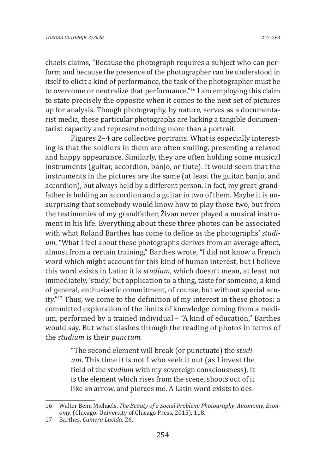chaels claims, "Because the photograph requires a subject who can perform and because the presence of the photographer can be understood in itself to elicit a kind of performance, the task of the photographer must be to overcome or neutralize that performance."16 I am employing this claim to state precisely the opposite when it comes to the next set of pictures up for analysis. Though photography, by nature, serves as a documentarist media, these particular photographs are lacking a tangible documentarist capacity and represent nothing more than a portrait.

Figures 2–4 are collective portraits. What is especially interesting is that the soldiers in them are often smiling, presenting a relaxed and happy appearance. Similarly, they are often holding some musical instruments (guitar, accordion, banjo, or flute). It would seem that the instruments in the pictures are the same (at least the guitar, banjo, and accordion), but always held by a different person. In fact, my great-grandfather is holding an accordion and a guitar in two of them. Maybe it is unsurprising that somebody would know how to play those two, but from the testimonies of my grandfather, Živan never played a musical instrument in his life. Everything about these three photos can be associated with what Roland Barthes has come to define as the photographs' *studium*. "What I feel about these photographs derives from an average affect, almost from a certain training," Barthes wrote, "I did not know a French word which might account for this kind of human interest, but I believe this word exists in Latin: it is *studium*, which doesn't mean, at least not immediately, 'study,' but application to a thing, taste for someone, a kind of general, enthusiastic commitment, of course, but without special acuity."17 Thus, we come to the definition of my interest in these photos: a committed exploration of the limits of knowledge coming from a medium, performed by a trained individual – "A kind of education," Barthes would say. But what slashes through the reading of photos in terms of the *studium* is their *punctum*.

> "The second element will break (or punctuate) the *studium*. This time it is not I who seek it out (as I invest the field of the *studium* with my sovereign consciousness), it is the element which rises from the scene, shoots out of it like an arrow, and pierces me. A Latin word exists to des-

<sup>16</sup> Walter Benn Michaels, *The Beauty of a Social Problem: Photography, Autonomy, Economy*, (Chicago: University of Chicago Press, 2015), 118.

<sup>17</sup> Barthes, *Camera Lucida*, 26.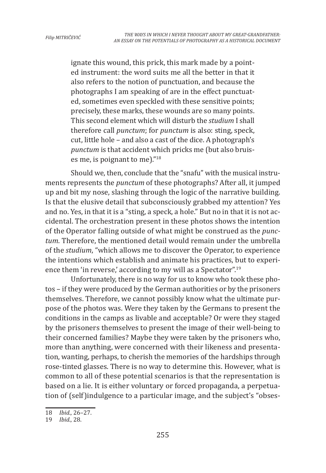ignate this wound, this prick, this mark made by a pointed instrument: the word suits me all the better in that it also refers to the notion of punctuation, and because the photographs I am speaking of are in the effect punctuated, sometimes even speckled with these sensitive points; precisely, these marks, these wounds are so many points. This second element which will disturb the *studium* I shall therefore call *punctum*; for *punctum* is also: sting, speck, cut, little hole – and also a cast of the dice. A photograph's *punctum* is that accident which pricks me (but also bruises me, is poignant to me)."<sup>18</sup>

Should we, then, conclude that the "snafu" with the musical instruments represents the *punctum* of these photographs? After all, it jumped up and bit my nose, slashing through the logic of the narrative building. Is that the elusive detail that subconsciously grabbed my attention? Yes and no. Yes, in that it is a "sting, a speck, a hole." But no in that it is not accidental. The orchestration present in these photos shows the intention of the Operator falling outside of what might be construed as the *punctum*. Therefore, the mentioned detail would remain under the umbrella of the *studium*, "which allows me to discover the Operator, to experience the intentions which establish and animate his practices, but to experience them 'in reverse,' according to my will as a Spectator".<sup>19</sup>

Unfortunately, there is no way for us to know who took these photos – if they were produced by the German authorities or by the prisoners themselves. Therefore, we cannot possibly know what the ultimate purpose of the photos was. Were they taken by the Germans to present the conditions in the camps as livable and acceptable? Or were they staged by the prisoners themselves to present the image of their well-being to their concerned families? Maybe they were taken by the prisoners who, more than anything, were concerned with their likeness and presentation, wanting, perhaps, to cherish the memories of the hardships through rose-tinted glasses. There is no way to determine this. However, what is common to all of these potential scenarios is that the representation is based on a lie. It is either voluntary or forced propaganda, a perpetuation of (self)indulgence to a particular image, and the subject's "obses-

<sup>18</sup> *Ibid.*, 26–27.

<sup>19</sup> *Ibid.*, 28.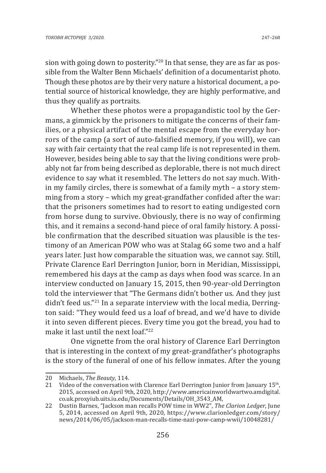sion with going down to posterity."<sup>20</sup> In that sense, they are as far as possible from the Walter Benn Michaels' definition of a documentarist photo. Though these photos are by their very nature a historical document, a potential source of historical knowledge, they are highly performative, and thus they qualify as portraits.

Whether these photos were a propagandistic tool by the Germans, a gimmick by the prisoners to mitigate the concerns of their families, or a physical artifact of the mental escape from the everyday horrors of the camp (a sort of auto-falsified memory, if you will), we can say with fair certainty that the real camp life is not represented in them. However, besides being able to say that the living conditions were probably not far from being described as deplorable, there is not much direct evidence to say what it resembled. The letters do not say much. Within my family circles, there is somewhat of a family myth – a story stemming from a story – which my great-grandfather confided after the war: that the prisoners sometimes had to resort to eating undigested corn from horse dung to survive. Obviously, there is no way of confirming this, and it remains a second-hand piece of oral family history. A possible confirmation that the described situation was plausible is the testimony of an American POW who was at Stalag 6G some two and a half years later. Just how comparable the situation was, we cannot say. Still, Private Clarence Earl Derrington Junior, born in Meridian, Mississippi, remembered his days at the camp as days when food was scarce. In an interview conducted on January 15, 2015, then 90-year-old Derrington told the interviewer that "The Germans didn't bother us. And they just didn't feed us."21 In a separate interview with the local media, Derrington said: "They would feed us a loaf of bread, and we'd have to divide it into seven different pieces. Every time you got the bread, you had to make it last until the next loaf."<sup>22</sup>

One vignette from the oral history of Clarence Earl Derrington that is interesting in the context of my great-grandfather's photographs is the story of the funeral of one of his fellow inmates. After the young

<sup>20</sup> Michaels, *The Beauty*, 114.

Video of the conversation with Clarence Earl Derrington Junior from January 15<sup>th</sup>, 2015, accessed on April 9th, 2020, http://www.americainworldwartwo.amdigital. co.uk.proxyiub.uits.iu.edu/Documents/Details/OH\_3543\_AM,

<sup>22</sup> Dustin Barnes, "Jackson man recalls POW time in WW2", *The Clarion Ledger*, June 5, 2014, accessed on April 9th, 2020, https://www.clarionledger.com/story/ news/2014/06/05/jackson-man-recalls-time-nazi-pow-camp-wwii/10048281/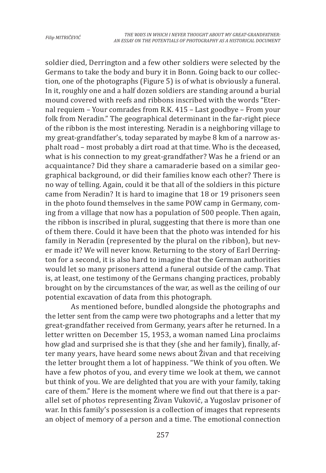soldier died, Derrington and a few other soldiers were selected by the Germans to take the body and bury it in Bonn. Going back to our collection, one of the photographs (Figure 5) is of what is obviously a funeral. In it, roughly one and a half dozen soldiers are standing around a burial mound covered with reefs and ribbons inscribed with the words "Eternal requiem – Your comrades from R.K. 415 – Last goodbye – From your folk from Neradin." The geographical determinant in the far-right piece of the ribbon is the most interesting. Neradin is a neighboring village to my great-grandfather's, today separated by maybe 8 km of a narrow asphalt road – most probably a dirt road at that time. Who is the deceased, what is his connection to my great-grandfather? Was he a friend or an acquaintance? Did they share a camaraderie based on a similar geographical background, or did their families know each other? There is no way of telling. Again, could it be that all of the soldiers in this picture came from Neradin? It is hard to imagine that 18 or 19 prisoners seen in the photo found themselves in the same POW camp in Germany, coming from a village that now has a population of 500 people. Then again, the ribbon is inscribed in plural, suggesting that there is more than one of them there. Could it have been that the photo was intended for his family in Neradin (represented by the plural on the ribbon), but never made it? We will never know. Returning to the story of Earl Derrington for a second, it is also hard to imagine that the German authorities would let so many prisoners attend a funeral outside of the camp. That is, at least, one testimony of the Germans changing practices, probably brought on by the circumstances of the war, as well as the ceiling of our potential excavation of data from this photograph.

As mentioned before, bundled alongside the photographs and the letter sent from the camp were two photographs and a letter that my great-grandfather received from Germany, years after he returned. In a letter written on December 15, 1953, a woman named Lina proclaims how glad and surprised she is that they (she and her family), finally, after many years, have heard some news about Živan and that receiving the letter brought them a lot of happiness. "We think of you often. We have a few photos of you, and every time we look at them, we cannot but think of you. We are delighted that you are with your family, taking care of them." Here is the moment where we find out that there is a parallel set of photos representing Živan Vuković, a Yugoslav prisoner of war. In this family's possession is a collection of images that represents an object of memory of a person and a time. The emotional connection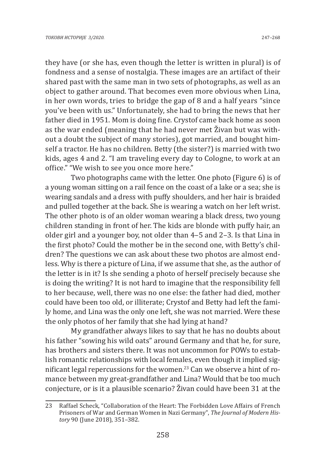they have (or she has, even though the letter is written in plural) is of fondness and a sense of nostalgia. These images are an artifact of their shared past with the same man in two sets of photographs, as well as an object to gather around. That becomes even more obvious when Lina, in her own words, tries to bridge the gap of 8 and a half years "since you've been with us." Unfortunately, she had to bring the news that her father died in 1951. Mom is doing fine. Crystof came back home as soon as the war ended (meaning that he had never met Živan but was without a doubt the subject of many stories), got married, and bought himself a tractor. He has no children. Betty (the sister?) is married with two kids, ages 4 and 2. "I am traveling every day to Cologne, to work at an office." "We wish to see you once more here."

Two photographs came with the letter. One photo (Figure 6) is of a young woman sitting on a rail fence on the coast of a lake or a sea; she is wearing sandals and a dress with puffy shoulders, and her hair is braided and pulled together at the back. She is wearing a watch on her left wrist. The other photo is of an older woman wearing a black dress, two young children standing in front of her. The kids are blonde with puffy hair, an older girl and a younger boy, not older than 4–5 and 2–3. Is that Lina in the first photo? Could the mother be in the second one, with Betty's children? The questions we can ask about these two photos are almost endless. Why is there a picture of Lina, if we assume that she, as the author of the letter is in it? Is she sending a photo of herself precisely because she is doing the writing? It is not hard to imagine that the responsibility fell to her because, well, there was no one else: the father had died, mother could have been too old, or illiterate; Crystof and Betty had left the family home, and Lina was the only one left, she was not married. Were these the only photos of her family that she had lying at hand?

My grandfather always likes to say that he has no doubts about his father "sowing his wild oats" around Germany and that he, for sure, has brothers and sisters there. It was not uncommon for POWs to establish romantic relationships with local females, even though it implied significant legal repercussions for the women.<sup>23</sup> Can we observe a hint of romance between my great-grandfather and Lina? Would that be too much conjecture, or is it a plausible scenario? Živan could have been 31 at the

<sup>23</sup> Raffael Scheck, "Collaboration of the Heart: The Forbidden Love Affairs of French Prisoners of War and German Women in Nazi Germany", *The Journal of Modern History* 90 (June 2018), 351–382.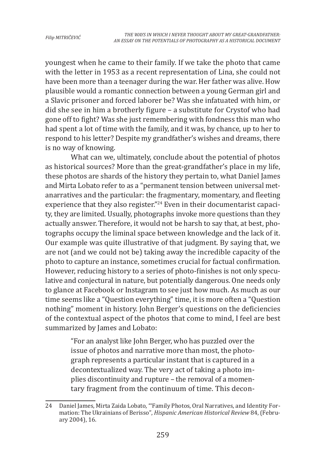youngest when he came to their family. If we take the photo that came with the letter in 1953 as a recent representation of Lina, she could not have been more than a teenager during the war. Her father was alive. How plausible would a romantic connection between a young German girl and a Slavic prisoner and forced laborer be? Was she infatuated with him, or did she see in him a brotherly figure – a substitute for Crystof who had gone off to fight? Was she just remembering with fondness this man who had spent a lot of time with the family, and it was, by chance, up to her to respond to his letter? Despite my grandfather's wishes and dreams, there is no way of knowing.

What can we, ultimately, conclude about the potential of photos as historical sources? More than the great-grandfather's place in my life, these photos are shards of the history they pertain to, what Daniel James and Mirta Lobato refer to as a "permanent tension between universal metanarratives and the particular: the fragmentary, momentary, and fleeting experience that they also register."<sup>24</sup> Even in their documentarist capacity, they are limited. Usually, photographs invoke more questions than they actually answer. Therefore, it would not be harsh to say that, at best, photographs occupy the liminal space between knowledge and the lack of it. Our example was quite illustrative of that judgment. By saying that, we are not (and we could not be) taking away the incredible capacity of the photo to capture an instance, sometimes crucial for factual confirmation. However, reducing history to a series of photo-finishes is not only speculative and conjectural in nature, but potentially dangerous. One needs only to glance at Facebook or Instagram to see just how much. As much as our time seems like a "Question everything" time, it is more often a "Question nothing" moment in history. John Berger's questions on the deficiencies of the contextual aspect of the photos that come to mind, I feel are best summarized by James and Lobato:

> "For an analyst like John Berger, who has puzzled over the issue of photos and narrative more than most, the photograph represents a particular instant that is captured in a decontextualized way. The very act of taking a photo implies discontinuity and rupture – the removal of a momentary fragment from the continuum of time. This decon-

<sup>24</sup> Daniel James, Mirta Zaida Lobato, "'Family Photos, Oral Narratives, and Identity Formation: The Ukrainians of Berisso", *Hispanic American Historical Review* 84, (February 2004), 16.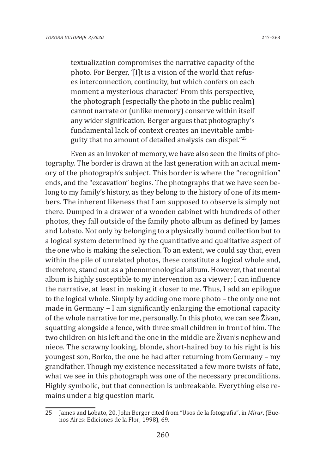textualization compromises the narrative capacity of the photo. For Berger, '[I]t is a vision of the world that refuses interconnection, continuity, but which confers on each moment a mysterious character.' From this perspective, the photograph (especially the photo in the public realm) cannot narrate or (unlike memory) conserve within itself any wider signification. Berger argues that photography's fundamental lack of context creates an inevitable ambiguity that no amount of detailed analysis can dispel."<sup>25</sup>

Even as an invoker of memory, we have also seen the limits of photography. The border is drawn at the last generation with an actual memory of the photograph's subject. This border is where the "recognition" ends, and the "excavation" begins. The photographs that we have seen belong to my family's history, as they belong to the history of one of its members. The inherent likeness that I am supposed to observe is simply not there. Dumped in a drawer of a wooden cabinet with hundreds of other photos, they fall outside of the family photo album as defined by James and Lobato. Not only by belonging to a physically bound collection but to a logical system determined by the quantitative and qualitative aspect of the one who is making the selection. To an extent, we could say that, even within the pile of unrelated photos, these constitute a logical whole and, therefore, stand out as a phenomenological album. However, that mental album is highly susceptible to my intervention as a viewer; I can influence the narrative, at least in making it closer to me. Thus, I add an epilogue to the logical whole. Simply by adding one more photo – the only one not made in Germany – I am significantly enlarging the emotional capacity of the whole narrative for me, personally. In this photo, we can see Živan, squatting alongside a fence, with three small children in front of him. The two children on his left and the one in the middle are Živan's nephew and niece. The scrawny looking, blonde, short-haired boy to his right is his youngest son, Borko, the one he had after returning from Germany – my grandfather. Though my existence necessitated a few more twists of fate, what we see in this photograph was one of the necessary preconditions. Highly symbolic, but that connection is unbreakable. Everything else remains under a big question mark.

<sup>25</sup> James and Lobato, 20. John Berger cited from "Usos de la fotografia", in *Mirar*, (Buenos Aires: Ediciones de la Flor, 1998), 69.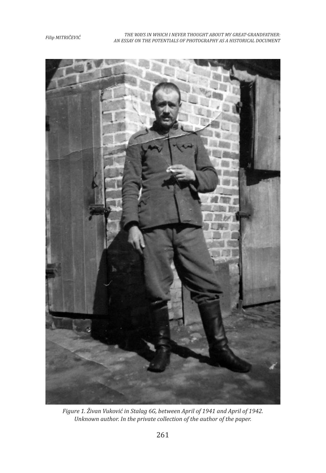*Filip MITRIČEVIĆ THE WAYS IN WHICH I NEVER THOUGHT ABOUT MY GREAT-GRANDFATHER: AN ESSAY ON THE POTENTIALS OF PHOTOGRAPHY AS A HISTORICAL DOCUMENT*



*Figure 1. Živan Vuković in Stalag 6G, between April of 1941 and April of 1942. Unknown author. In the private collection of the author of the paper.*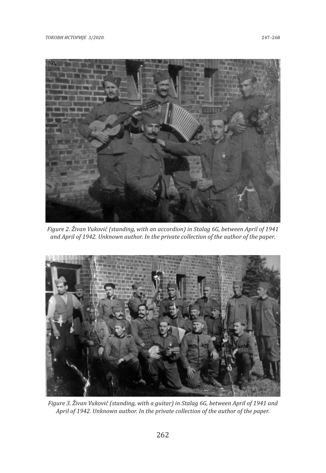

*Figure 2. Živan Vuković (standing, with an accordion) in Stalag 6G, between April of 1941 and April of 1942. Unknown author. In the private collection of the author of the paper.*



*Figure 3. Živan Vuković (standing, with a guitar) in Stalag 6G, between April of 1941 and April of 1942. Unknown author. In the private collection of the author of the paper.*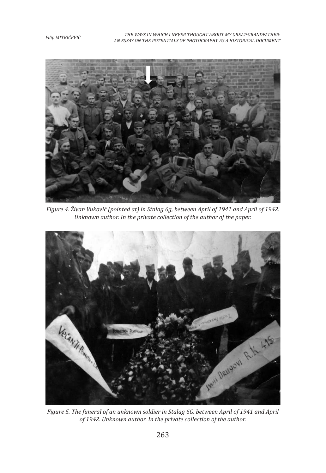*Filip MITRIČEVIĆ THE WAYS IN WHICH I NEVER THOUGHT ABOUT MY GREAT-GRANDFATHER: AN ESSAY ON THE POTENTIALS OF PHOTOGRAPHY AS A HISTORICAL DOCUMENT*



*Figure 4. Živan Vuković (pointed at) in Stalag 6g, between April of 1941 and April of 1942. Unknown author. In the private collection of the author of the paper.*



*Figure 5. The funeral of an unknown soldier in Stalag 6G, between April of 1941 and April of 1942. Unknown author. In the private collection of the author.*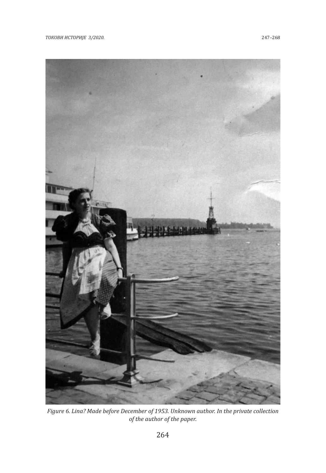*ТОКОВИ ИСТОРИЈЕ 3/2020.* 247–268



*Figure 6. Lina? Made before December of 1953. Unknown author. In the private collection of the author of the paper.*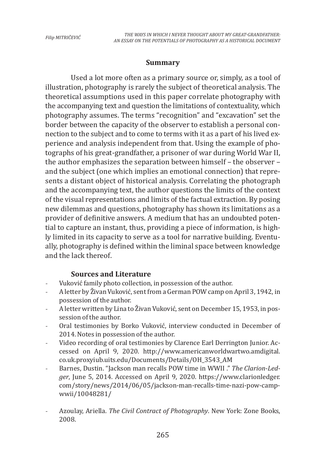### **Summary**

Used a lot more often as a primary source or, simply, as a tool of illustration, photography is rarely the subject of theoretical analysis. The theoretical assumptions used in this paper correlate photography with the accompanying text and question the limitations of contextuality, which photography assumes. The terms "recognition" and "excavation" set the border between the capacity of the observer to establish a personal connection to the subject and to come to terms with it as a part of his lived experience and analysis independent from that. Using the example of photographs of his great-grandfather, a prisoner of war during World War II, the author emphasizes the separation between himself – the observer – and the subject (one which implies an emotional connection) that represents a distant object of historical analysis. Correlating the photograph and the accompanying text, the author questions the limits of the context of the visual representations and limits of the factual extraction. By posing new dilemmas and questions, photography has shown its limitations as a provider of definitive answers. A medium that has an undoubted potential to capture an instant, thus, providing a piece of information, is highly limited in its capacity to serve as a tool for narrative building. Eventually, photography is defined within the liminal space between knowledge and the lack thereof.

### **Sources and Literature**

- Vuković family photo collection, in possession of the author.
- A letter by Živan Vuković, sent from a German POW camp on April 3, 1942, in possession of the author.
- A letter written by Lina to Živan Vuković, sent on December 15, 1953, in possession of the author.
- Oral testimonies by Borko Vuković, interview conducted in December of 2014. Notes in possession of the author.
- Video recording of oral testimonies by Clarence Earl Derrington Junior. Accessed on April 9, 2020. http://www.americanworldwartwo.amdigital. co.uk.proxyiub.uits.edu/Documents/Details/OH\_3543\_AM
- Barnes, Dustin. "Jackson man recalls POW time in WWII ." *The Clarion-Ledger*, June 5, 2014. Accessed on April 9, 2020. https://www.clarionledger. com/story/news/2014/06/05/jackson-man-recalls-time-nazi-pow-campwwii/10048281/
- Azoulay, Ariella. *The Civil Contract of Photography*. New York: Zone Books, 2008.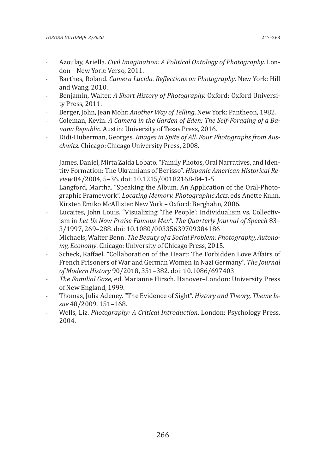- Azoulay, Ariella. *Civil Imagination: A Political Ontology of Photography*. London – New York: Verso, 2011.
- Barthes, Roland. *Camera Lucida. Reflections on Photography*. New York: Hill and Wang, 2010.
- Benjamin, Walter. *A Short History of Photography.* Oxford: Oxford University Press, 2011.
- Berger, John, Jean Mohr. *Another Way of Telling*. New York: Pantheon, 1982.
- Coleman, Kevin. *A Camera in the Garden of Eden: The Self-Foraging of a Banana Republic*. Austin: University of Texas Press, 2016.
- Didi-Huberman, Georges. *Images in Spite of All. Four Photographs from Auschwitz.* Chicago: Chicago University Press, 2008.
- James, Daniel, Mirta Zaida Lobato. "Family Photos, Oral Narratives, and Identity Formation: The Ukrainians of Berisso". *Hispanic American Historical Review* 84/2004, 5–36. doi: 10.1215/00182168-84-1-5
- Langford, Martha. "Speaking the Album. An Application of the Oral-Photographic Framework". *Locating Memory. Photographic Acts*, eds Anette Kuhn, Kirsten Emiko McAllister. New York – Oxford: Berghahn, 2006.
- Lucaites, John Louis. "Visualizing 'The People': Individualism vs. Collectivism in *Let Us Now Praise Famous Men*". *The Quarterly Journal of Speech* 83– 3/1997, 269–288. doi: 10.1080/00335639709384186
- Michaels, Walter Benn. *The Beauty of a Social Problem: Photography, Autonomy, Economy*. Chicago: University of Chicago Press, 2015.
- Scheck, Raffael. "Collaboration of the Heart: The Forbidden Love Affairs of French Prisoners of War and German Women in Nazi Germany". *The Journal of Modern History* 90/2018, 351–382. doi: 10.1086/697403
- *The Familial Gaze*, ed. Marianne Hirsch. Hanover–London: University Press of New England, 1999.
- Thomas, Julia Adeney. "The Evidence of Sight". *History and Theory, Theme Issue* 48/2009, 151–168.
- Wells, Liz. *Photography: A Critical Introduction*. London: Psychology Press, 2004.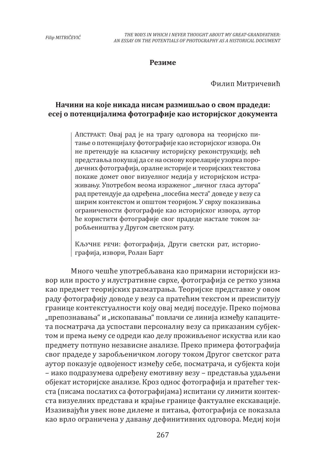#### **Резиме**

Филип Митричевић

# **Начини на које никада нисам размишљао о свом прадеди: есеј о потенцијалима фотографије као историјског документа**

Апстракт: Овај рад је на трагу одговора на теоријско питање о потенцијалу фотографије као историјског извора. Он не претендује на класичну историјску реконструкцију, већ представља покушај да се на основу корелације узорка породичних фотографија, оралне историје и теоријских текстова покаже домет овог визуелног медија у историјском истраживању. Употребом веома израженог "личног гласа аутора" рад претендује да одређена "посебна места" доведе у везу са ширим контекстом и општом теоријом. У сврху показивања ограничености фотографије као историјског извора, аутор ће користити фотографије свог прадеде настале током заробљеништва у Другом светском рату.

Кључне речи: фотографија, Други светски рат, историографија, извори, Ролан Барт

Много чешће употребљaвана као примарни историјски извор или просто у илустративне сврхе, фотографија се ретко узима као предмет теоријских разматрања. Теоријске представке у овом раду фотографију доводе у везу са пратећим текстом и преиспитују границе контекстуалности коју овај медиј поседује. Преко појмова "препознавања" и "ископавања" повлачи се линија између капацитета посматрача да успостави персоналну везу са приказаним субјектом и према њему се одреди као делу проживљеног искуства или као предмету потпуно независне анализе. Преко примера фотографија свог прадеде у заробљеничком логору током Другог светског рата аутор показује одвојеност између себе, посматрача, и субјекта који – иако подразумева одређену емотивну везу – представља удаљени објекат историјске анализе. Кроз однос фотографија и пратећег текста (писама послатих са фотографијама) испитани су лимити контекста визуелних представа и крајње границе фактуалне екскавације. Изазивајући увек нове дилеме и питања, фотографија се показала као врло ограничена у давању дефинитивних одговора. Медиј који